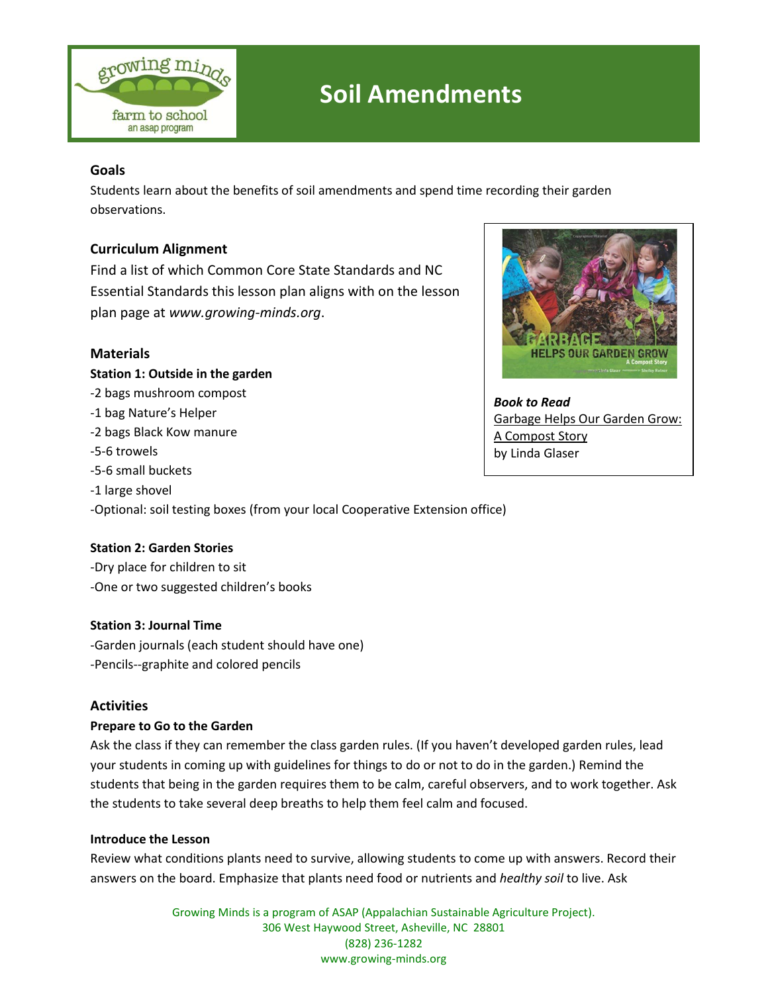

## **Soil Amendments**

## **Goals**

Students learn about the benefits of soil amendments and spend time recording their garden observations.

## **Curriculum Alignment**

Find a list of which Common Core State Standards and NC Essential Standards this lesson plan aligns with on the lesson plan page at *[www.growing-minds.org](http://www.growing-minds.org/)*.

## **Materials**

#### **Station 1: Outside in the garden**

- -2 bags mushroom compost
- -1 bag Nature's Helper
- -2 bags Black Kow manure
- -5-6 trowels
- -5-6 small buckets
- -1 large shovel

-Optional: soil testing boxes (from your local Cooperative Extension office)

## **Station 2: Garden Stories**

-Dry place for children to sit -One or two suggested children's books

## **Station 3: Journal Time**

-Garden journals (each student should have one) -Pencils--graphite and colored pencils

## **Activities**

#### **Prepare to Go to the Garden**

Ask the class if they can remember the class garden rules. (If you haven't developed garden rules, lead your students in coming up with guidelines for things to do or not to do in the garden.) Remind the students that being in the garden requires them to be calm, careful observers, and to work together. Ask the students to take several deep breaths to help them feel calm and focused.

#### **Introduce the Lesson**

Review what conditions plants need to survive, allowing students to come up with answers. Record their answers on the board. Emphasize that plants need food or nutrients and *healthy soil* to live. Ask

> Growing Minds is a program of ASAP (Appalachian Sustainable Agriculture Project). 306 West Haywood Street, Asheville, NC 28801 (828) 236-1282 www.growing-minds.org



*Book to Read* Garbage Helps Our Garden Grow: A Compost Story by Linda Glaser